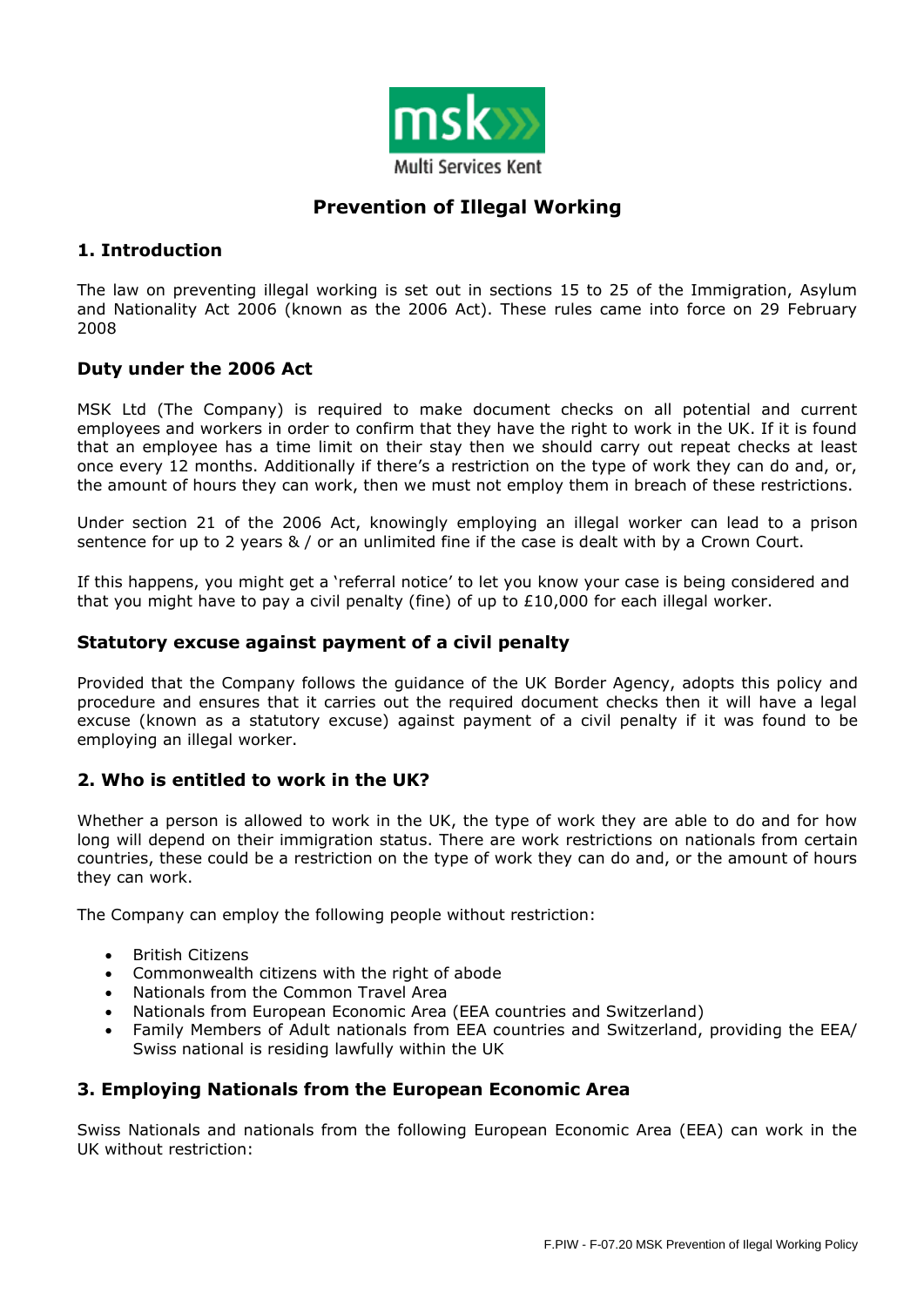

# **Prevention of Illegal Working**

# **1. Introduction**

The law on preventing illegal working is set out in sections 15 to 25 of the Immigration, Asylum and Nationality Act 2006 (known as the 2006 Act). These rules came into force on 29 February 2008

# **Duty under the 2006 Act**

MSK Ltd (The Company) is required to make document checks on all potential and current employees and workers in order to confirm that they have the right to work in the UK. If it is found that an employee has a time limit on their stay then we should carry out repeat checks at least once every 12 months. Additionally if there's a restriction on the type of work they can do and, or, the amount of hours they can work, then we must not employ them in breach of these restrictions.

Under section 21 of the 2006 Act, knowingly employing an illegal worker can lead to a prison sentence for up to 2 years & / or an unlimited fine if the case is dealt with by a Crown Court.

If this happens, you might get a 'referral notice' to let you know your case is being considered and that you might have to pay a civil penalty (fine) of up to  $£10,000$  for each illegal worker.

#### **Statutory excuse against payment of a civil penalty**

Provided that the Company follows the guidance of the UK Border Agency, adopts this policy and procedure and ensures that it carries out the required document checks then it will have a legal excuse (known as a statutory excuse) against payment of a civil penalty if it was found to be employing an illegal worker.

## **2. Who is entitled to work in the UK?**

Whether a person is allowed to work in the UK, the type of work they are able to do and for how long will depend on their immigration status. There are work restrictions on nationals from certain countries, these could be a restriction on the type of work they can do and, or the amount of hours they can work.

The Company can employ the following people without restriction:

- British Citizens
- Commonwealth citizens with the right of abode
- Nationals from the Common Travel Area
- Nationals from European Economic Area (EEA countries and Switzerland)
- Family Members of Adult nationals from EEA countries and Switzerland, providing the EEA/ Swiss national is residing lawfully within the UK

## **3. Employing Nationals from the European Economic Area**

Swiss Nationals and nationals from the following European Economic Area (EEA) can work in the UK without restriction: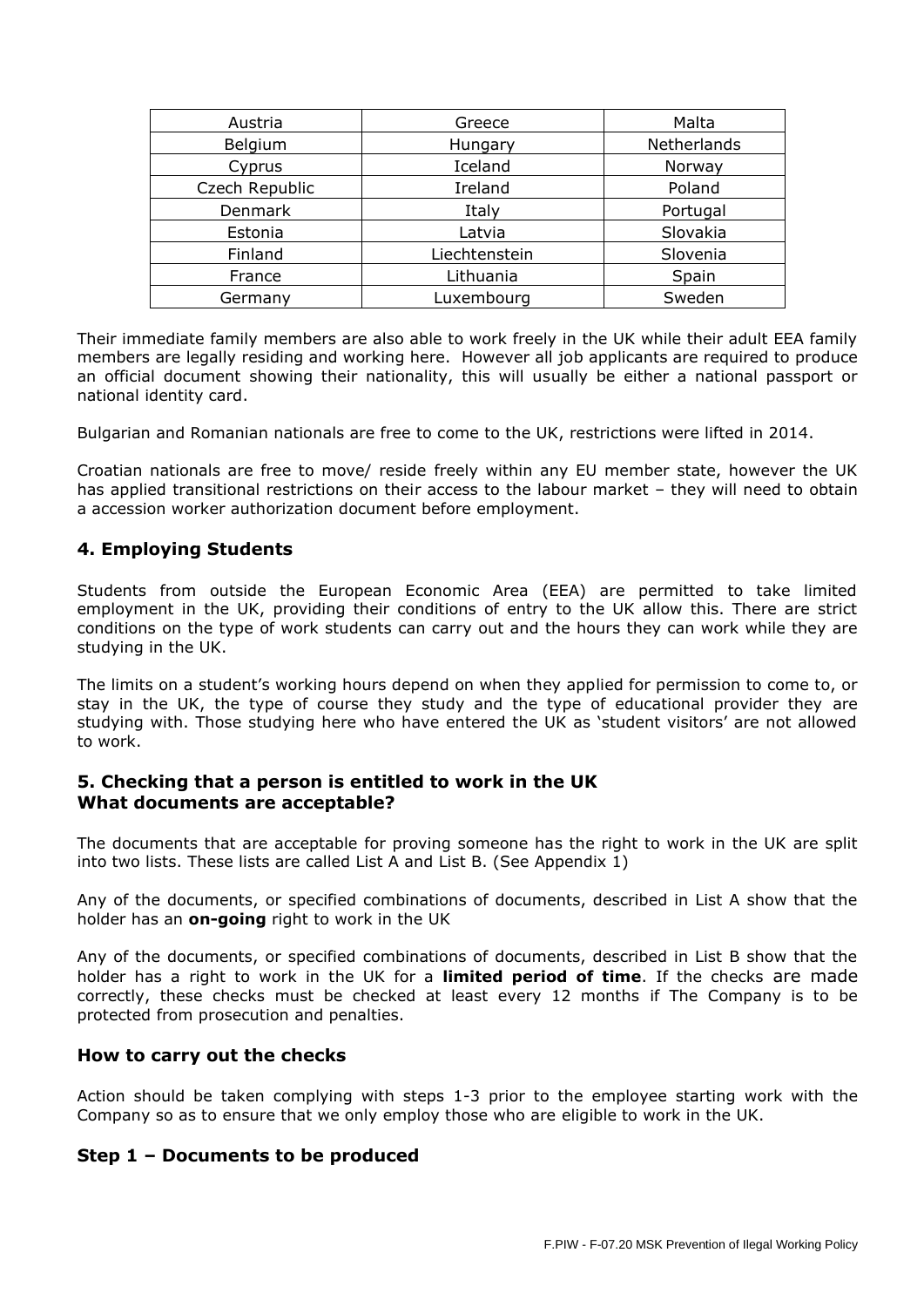| Austria        | Greece        | Malta       |  |
|----------------|---------------|-------------|--|
| Belgium        | Hungary       | Netherlands |  |
| Cyprus         | Iceland       | Norway      |  |
| Czech Republic | Ireland       | Poland      |  |
| Denmark        | Italy         | Portugal    |  |
| Estonia        | Latvia        | Slovakia    |  |
| Finland        | Liechtenstein | Slovenia    |  |
| France         | Lithuania     | Spain       |  |
| Germany        | Luxembourg    | Sweden      |  |

Their immediate family members are also able to work freely in the UK while their adult EEA family members are legally residing and working here. However all job applicants are required to produce an official document showing their nationality, this will usually be either a national passport or national identity card.

Bulgarian and Romanian nationals are free to come to the UK, restrictions were lifted in 2014.

Croatian nationals are free to move/ reside freely within any EU member state, however the UK has applied transitional restrictions on their access to the labour market - they will need to obtain a accession worker authorization document before employment.

## **4. Employing Students**

Students from outside the European Economic Area (EEA) are permitted to take limited employment in the UK, providing their conditions of entry to the UK allow this. There are strict conditions on the type of work students can carry out and the hours they can work while they are studying in the UK.

The limits on a student's working hours depend on when they applied for permission to come to, or stay in the UK, the type of course they study and the type of educational provider they are studying with. Those studying here who have entered the UK as 'student visitors' are not allowed to work.

## **5. Checking that a person is entitled to work in the UK What documents are acceptable?**

The documents that are acceptable for proving someone has the right to work in the UK are split into two lists. These lists are called List A and List B. (See Appendix 1)

Any of the documents, or specified combinations of documents, described in List A show that the holder has an **on-going** right to work in the UK

Any of the documents, or specified combinations of documents, described in List B show that the holder has a right to work in the UK for a **limited period of time**. If the checks are made correctly, these checks must be checked at least every 12 months if The Company is to be protected from prosecution and penalties.

#### **How to carry out the checks**

Action should be taken complying with steps 1-3 prior to the employee starting work with the Company so as to ensure that we only employ those who are eligible to work in the UK.

#### **Step 1 – Documents to be produced**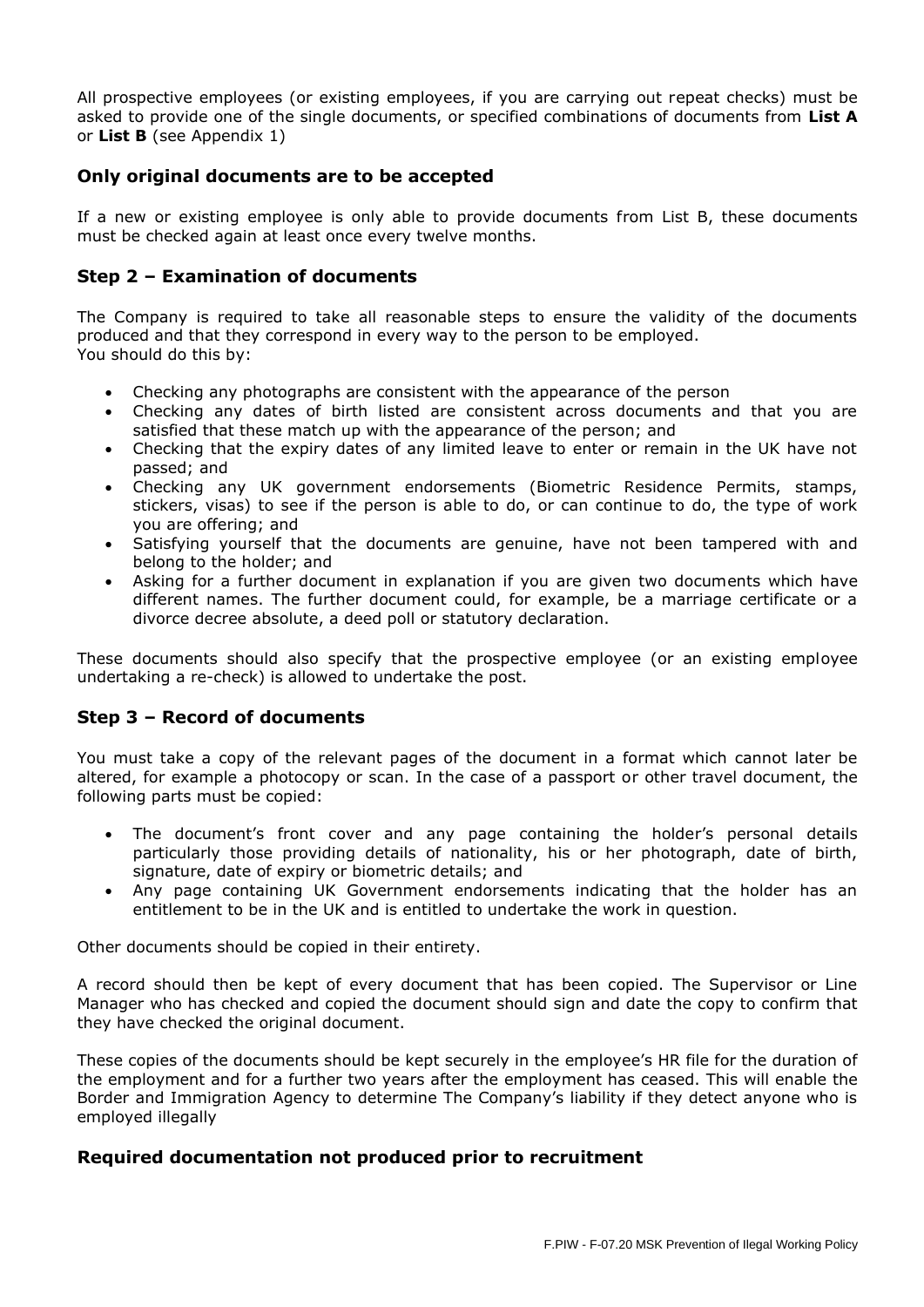All prospective employees (or existing employees, if you are carrying out repeat checks) must be asked to provide one of the single documents, or specified combinations of documents from **List A**  or **List B** (see Appendix 1)

# **Only original documents are to be accepted**

If a new or existing employee is only able to provide documents from List B, these documents must be checked again at least once every twelve months.

## **Step 2 – Examination of documents**

The Company is required to take all reasonable steps to ensure the validity of the documents produced and that they correspond in every way to the person to be employed. You should do this by:

- Checking any photographs are consistent with the appearance of the person
- Checking any dates of birth listed are consistent across documents and that you are satisfied that these match up with the appearance of the person; and
- Checking that the expiry dates of any limited leave to enter or remain in the UK have not passed; and
- Checking any UK government endorsements (Biometric Residence Permits, stamps, stickers, visas) to see if the person is able to do, or can continue to do, the type of work you are offering; and
- Satisfying yourself that the documents are genuine, have not been tampered with and belong to the holder; and
- Asking for a further document in explanation if you are given two documents which have different names. The further document could, for example, be a marriage certificate or a divorce decree absolute, a deed poll or statutory declaration.

These documents should also specify that the prospective employee (or an existing employee undertaking a re-check) is allowed to undertake the post.

## **Step 3 – Record of documents**

You must take a copy of the relevant pages of the document in a format which cannot later be altered, for example a photocopy or scan. In the case of a passport or other travel document, the following parts must be copied:

- The document's front cover and any page containing the holder's personal details particularly those providing details of nationality, his or her photograph, date of birth, signature, date of expiry or biometric details; and
- Any page containing UK Government endorsements indicating that the holder has an entitlement to be in the UK and is entitled to undertake the work in question.

Other documents should be copied in their entirety.

A record should then be kept of every document that has been copied. The Supervisor or Line Manager who has checked and copied the document should sign and date the copy to confirm that they have checked the original document.

These copies of the documents should be kept securely in the employee's HR file for the duration of the employment and for a further two years after the employment has ceased. This will enable the Border and Immigration Agency to determine The Company's liability if they detect anyone who is employed illegally

## **Required documentation not produced prior to recruitment**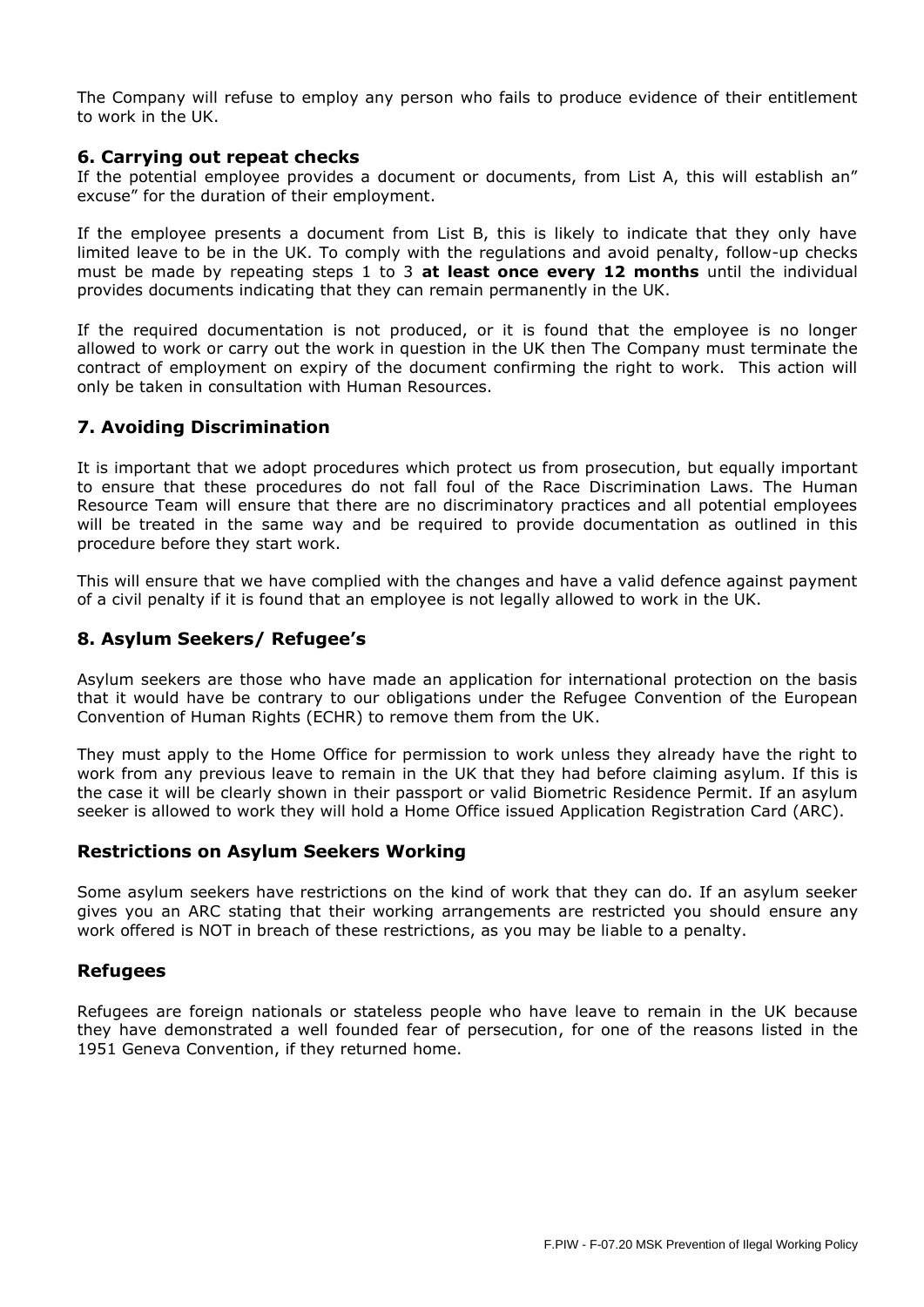The Company will refuse to employ any person who fails to produce evidence of their entitlement to work in the UK.

#### **6. Carrying out repeat checks**

If the potential employee provides a document or documents, from List A, this will establish an" excuse" for the duration of their employment.

If the employee presents a document from List B, this is likely to indicate that they only have limited leave to be in the UK. To comply with the regulations and avoid penalty, follow-up checks must be made by repeating steps 1 to 3 **at least once every 12 months** until the individual provides documents indicating that they can remain permanently in the UK.

If the required documentation is not produced, or it is found that the employee is no longer allowed to work or carry out the work in question in the UK then The Company must terminate the contract of employment on expiry of the document confirming the right to work. This action will only be taken in consultation with Human Resources.

## **7. Avoiding Discrimination**

It is important that we adopt procedures which protect us from prosecution, but equally important to ensure that these procedures do not fall foul of the Race Discrimination Laws. The Human Resource Team will ensure that there are no discriminatory practices and all potential employees will be treated in the same way and be required to provide documentation as outlined in this procedure before they start work.

This will ensure that we have complied with the changes and have a valid defence against payment of a civil penalty if it is found that an employee is not legally allowed to work in the UK.

# **8. Asylum Seekers/ Refugee's**

Asylum seekers are those who have made an application for international protection on the basis that it would have be contrary to our obligations under the Refugee Convention of the European Convention of Human Rights (ECHR) to remove them from the UK.

They must apply to the Home Office for permission to work unless they already have the right to work from any previous leave to remain in the UK that they had before claiming asylum. If this is the case it will be clearly shown in their passport or valid Biometric Residence Permit. If an asylum seeker is allowed to work they will hold a Home Office issued Application Registration Card (ARC).

## **Restrictions on Asylum Seekers Working**

Some asylum seekers have restrictions on the kind of work that they can do. If an asylum seeker gives you an ARC stating that their working arrangements are restricted you should ensure any work offered is NOT in breach of these restrictions, as you may be liable to a penalty.

## **Refugees**

Refugees are foreign nationals or stateless people who have leave to remain in the UK because they have demonstrated a well founded fear of persecution, for one of the reasons listed in the 1951 Geneva Convention, if they returned home.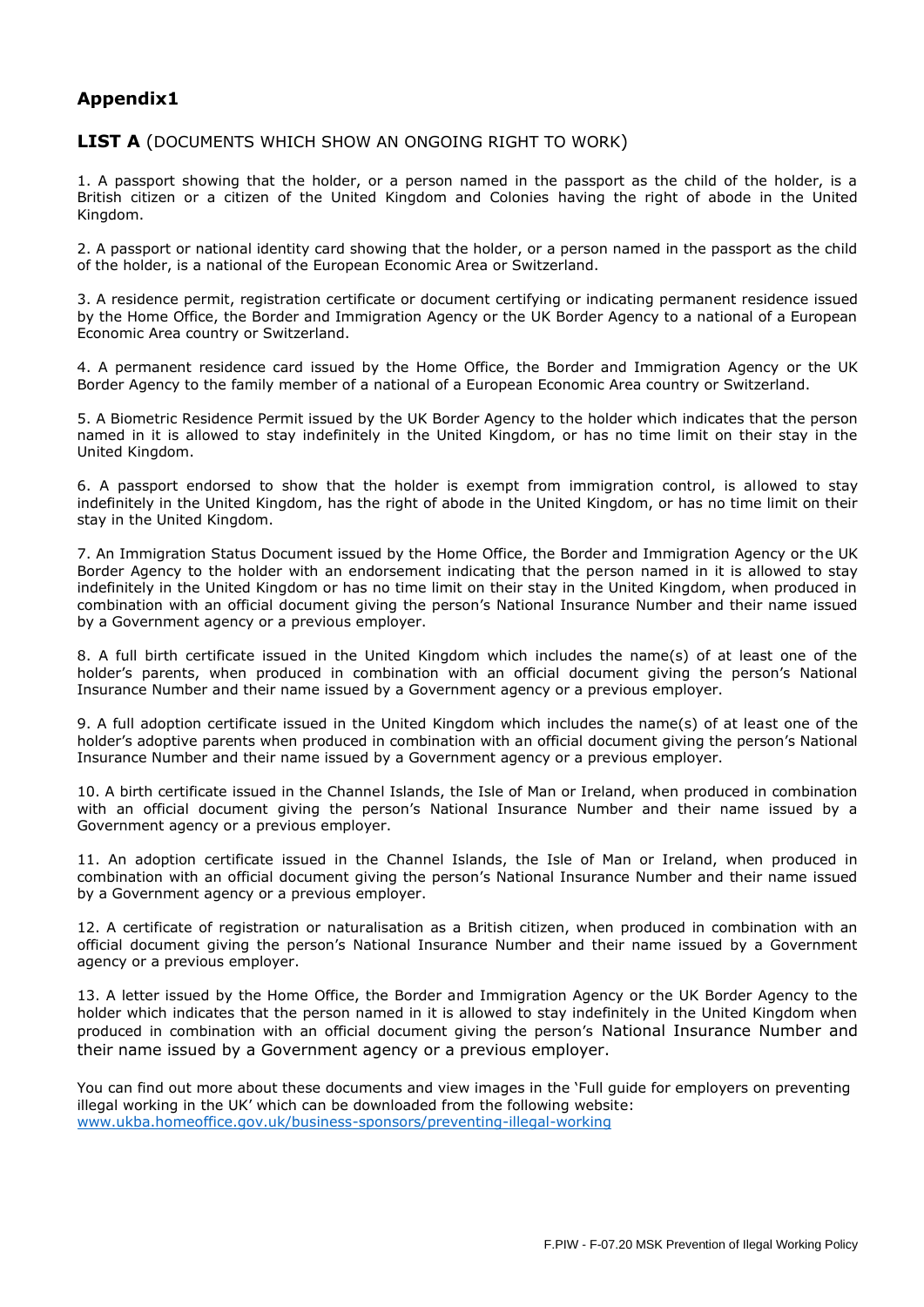# **Appendix1**

#### **LIST A** (DOCUMENTS WHICH SHOW AN ONGOING RIGHT TO WORK)

1. A passport showing that the holder, or a person named in the passport as the child of the holder, is a British citizen or a citizen of the United Kingdom and Colonies having the right of abode in the United Kingdom.

2. A passport or national identity card showing that the holder, or a person named in the passport as the child of the holder, is a national of the European Economic Area or Switzerland.

3. A residence permit, registration certificate or document certifying or indicating permanent residence issued by the Home Office, the Border and Immigration Agency or the UK Border Agency to a national of a European Economic Area country or Switzerland.

4. A permanent residence card issued by the Home Office, the Border and Immigration Agency or the UK Border Agency to the family member of a national of a European Economic Area country or Switzerland.

5. A Biometric Residence Permit issued by the UK Border Agency to the holder which indicates that the person named in it is allowed to stay indefinitely in the United Kingdom, or has no time limit on their stay in the United Kingdom.

6. A passport endorsed to show that the holder is exempt from immigration control, is allowed to stay indefinitely in the United Kingdom, has the right of abode in the United Kingdom, or has no time limit on their stay in the United Kingdom.

7. An Immigration Status Document issued by the Home Office, the Border and Immigration Agency or the UK Border Agency to the holder with an endorsement indicating that the person named in it is allowed to stay indefinitely in the United Kingdom or has no time limit on their stay in the United Kingdom, when produced in combination with an official document giving the person's National Insurance Number and their name issued by a Government agency or a previous employer.

8. A full birth certificate issued in the United Kingdom which includes the name(s) of at least one of the holder's parents, when produced in combination with an official document giving the person's National Insurance Number and their name issued by a Government agency or a previous employer.

9. A full adoption certificate issued in the United Kingdom which includes the name(s) of at least one of the holder's adoptive parents when produced in combination with an official document giving the person's National Insurance Number and their name issued by a Government agency or a previous employer.

10. A birth certificate issued in the Channel Islands, the Isle of Man or Ireland, when produced in combination with an official document giving the person's National Insurance Number and their name issued by a Government agency or a previous employer.

11. An adoption certificate issued in the Channel Islands, the Isle of Man or Ireland, when produced in combination with an official document giving the person's National Insurance Number and their name issued by a Government agency or a previous employer.

12. A certificate of registration or naturalisation as a British citizen, when produced in combination with an official document giving the person's National Insurance Number and their name issued by a Government agency or a previous employer.

13. A letter issued by the Home Office, the Border and Immigration Agency or the UK Border Agency to the holder which indicates that the person named in it is allowed to stay indefinitely in the United Kingdom when produced in combination with an official document giving the person's National Insurance Number and their name issued by a Government agency or a previous employer.

You can find out more about these documents and view images in the 'Full guide for employers on preventing illegal working in the UK' which can be downloaded from the following website: [www.ukba.homeoffice.gov.uk/business-sponsors/preventing-illegal-working](http://www.ukba.homeoffice.gov.uk/business-sponsors/preventing-illegal-working)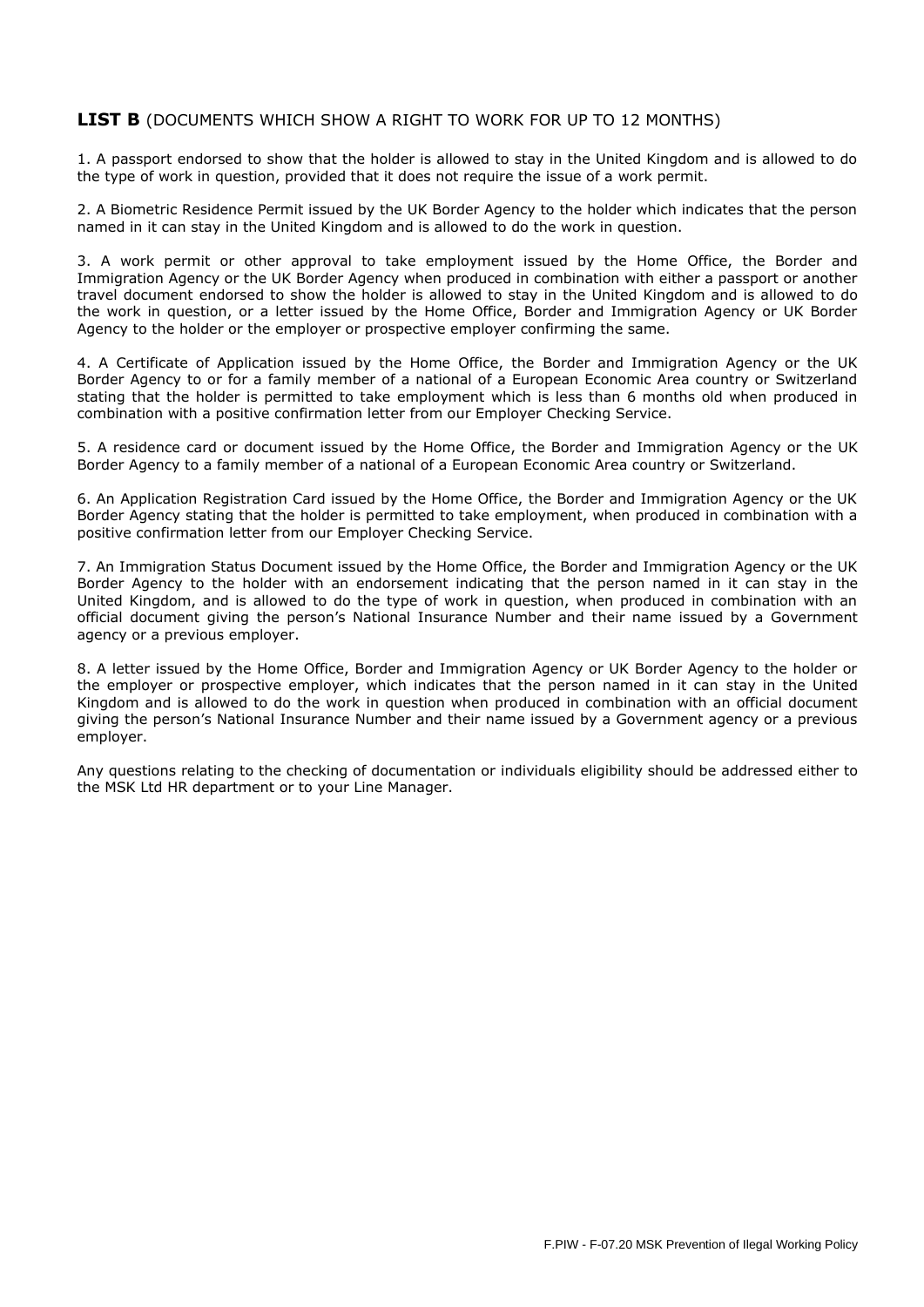#### LIST B (DOCUMENTS WHICH SHOW A RIGHT TO WORK FOR UP TO 12 MONTHS)

1. A passport endorsed to show that the holder is allowed to stay in the United Kingdom and is allowed to do the type of work in question, provided that it does not require the issue of a work permit.

2. A Biometric Residence Permit issued by the UK Border Agency to the holder which indicates that the person named in it can stay in the United Kingdom and is allowed to do the work in question.

3. A work permit or other approval to take employment issued by the Home Office, the Border and Immigration Agency or the UK Border Agency when produced in combination with either a passport or another travel document endorsed to show the holder is allowed to stay in the United Kingdom and is allowed to do the work in question, or a letter issued by the Home Office, Border and Immigration Agency or UK Border Agency to the holder or the employer or prospective employer confirming the same.

4. A Certificate of Application issued by the Home Office, the Border and Immigration Agency or the UK Border Agency to or for a family member of a national of a European Economic Area country or Switzerland stating that the holder is permitted to take employment which is less than 6 months old when produced in combination with a positive confirmation letter from our Employer Checking Service.

5. A residence card or document issued by the Home Office, the Border and Immigration Agency or the UK Border Agency to a family member of a national of a European Economic Area country or Switzerland.

6. An Application Registration Card issued by the Home Office, the Border and Immigration Agency or the UK Border Agency stating that the holder is permitted to take employment, when produced in combination with a positive confirmation letter from our Employer Checking Service.

7. An Immigration Status Document issued by the Home Office, the Border and Immigration Agency or the UK Border Agency to the holder with an endorsement indicating that the person named in it can stay in the United Kingdom, and is allowed to do the type of work in question, when produced in combination with an official document giving the person's National Insurance Number and their name issued by a Government agency or a previous employer.

8. A letter issued by the Home Office, Border and Immigration Agency or UK Border Agency to the holder or the employer or prospective employer, which indicates that the person named in it can stay in the United Kingdom and is allowed to do the work in question when produced in combination with an official document giving the person's National Insurance Number and their name issued by a Government agency or a previous employer.

Any questions relating to the checking of documentation or individuals eligibility should be addressed either to the MSK Ltd HR department or to your Line Manager.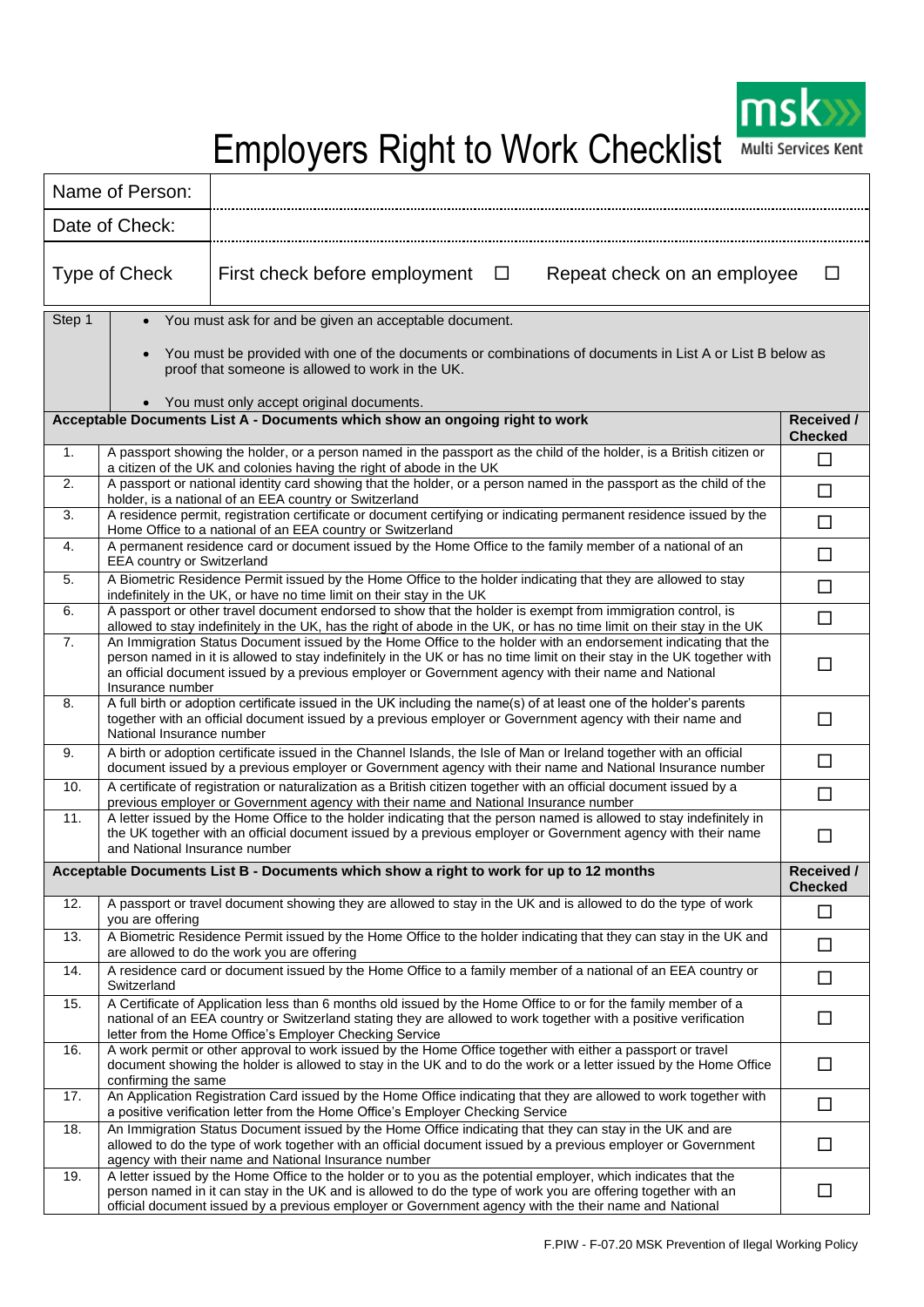

Employers Right to Work Checklist Multi Services Kent

|                | Name of Person:                                                                                                                                                                                            |                                                                                                                                                                                                                                                                                                                                                   |                              |  |  |
|----------------|------------------------------------------------------------------------------------------------------------------------------------------------------------------------------------------------------------|---------------------------------------------------------------------------------------------------------------------------------------------------------------------------------------------------------------------------------------------------------------------------------------------------------------------------------------------------|------------------------------|--|--|
|                | Date of Check:                                                                                                                                                                                             |                                                                                                                                                                                                                                                                                                                                                   |                              |  |  |
|                | Type of Check                                                                                                                                                                                              | First check before employment<br>$\Box$<br>Repeat check on an employee<br>п                                                                                                                                                                                                                                                                       |                              |  |  |
| Step 1         |                                                                                                                                                                                                            | • You must ask for and be given an acceptable document.                                                                                                                                                                                                                                                                                           |                              |  |  |
|                | You must be provided with one of the documents or combinations of documents in List A or List B below as<br>proof that someone is allowed to work in the UK.<br>• You must only accept original documents. |                                                                                                                                                                                                                                                                                                                                                   |                              |  |  |
|                |                                                                                                                                                                                                            | Acceptable Documents List A - Documents which show an ongoing right to work                                                                                                                                                                                                                                                                       | Received /<br><b>Checked</b> |  |  |
| 1 <sub>1</sub> |                                                                                                                                                                                                            | A passport showing the holder, or a person named in the passport as the child of the holder, is a British citizen or<br>$\Box$<br>a citizen of the UK and colonies having the right of abode in the UK                                                                                                                                            |                              |  |  |
| 2.             |                                                                                                                                                                                                            | A passport or national identity card showing that the holder, or a person named in the passport as the child of the<br>$\Box$<br>holder, is a national of an EEA country or Switzerland                                                                                                                                                           |                              |  |  |
| 3.             |                                                                                                                                                                                                            | A residence permit, registration certificate or document certifying or indicating permanent residence issued by the<br>Home Office to a national of an EEA country or Switzerland                                                                                                                                                                 |                              |  |  |
| 4.             | <b>EEA country or Switzerland</b>                                                                                                                                                                          | A permanent residence card or document issued by the Home Office to the family member of a national of an                                                                                                                                                                                                                                         | $\Box$                       |  |  |
| 5.             |                                                                                                                                                                                                            | A Biometric Residence Permit issued by the Home Office to the holder indicating that they are allowed to stay<br>indefinitely in the UK, or have no time limit on their stay in the UK                                                                                                                                                            | □                            |  |  |
| 6.             |                                                                                                                                                                                                            | A passport or other travel document endorsed to show that the holder is exempt from immigration control, is<br>allowed to stay indefinitely in the UK, has the right of abode in the UK, or has no time limit on their stay in the UK                                                                                                             |                              |  |  |
| 7.             | Insurance number                                                                                                                                                                                           | An Immigration Status Document issued by the Home Office to the holder with an endorsement indicating that the<br>person named in it is allowed to stay indefinitely in the UK or has no time limit on their stay in the UK together with<br>an official document issued by a previous employer or Government agency with their name and National |                              |  |  |
| 8.             | National Insurance number                                                                                                                                                                                  | A full birth or adoption certificate issued in the UK including the name(s) of at least one of the holder's parents<br>together with an official document issued by a previous employer or Government agency with their name and                                                                                                                  |                              |  |  |
| 9.             |                                                                                                                                                                                                            | A birth or adoption certificate issued in the Channel Islands, the Isle of Man or Ireland together with an official<br>document issued by a previous employer or Government agency with their name and National Insurance number                                                                                                                  |                              |  |  |
| 10.            |                                                                                                                                                                                                            | A certificate of registration or naturalization as a British citizen together with an official document issued by a<br>previous employer or Government agency with their name and National Insurance number                                                                                                                                       |                              |  |  |
| 11.            | and National Insurance number                                                                                                                                                                              | A letter issued by the Home Office to the holder indicating that the person named is allowed to stay indefinitely in<br>the UK together with an official document issued by a previous employer or Government agency with their name                                                                                                              |                              |  |  |
|                |                                                                                                                                                                                                            | Acceptable Documents List B - Documents which show a right to work for up to 12 months                                                                                                                                                                                                                                                            | Received /<br><b>Checked</b> |  |  |
| 12.            | you are offering                                                                                                                                                                                           | A passport or travel document showing they are allowed to stay in the UK and is allowed to do the type of work                                                                                                                                                                                                                                    | $\Box$                       |  |  |
| 13.            |                                                                                                                                                                                                            | A Biometric Residence Permit issued by the Home Office to the holder indicating that they can stay in the UK and<br>are allowed to do the work you are offering                                                                                                                                                                                   | $\Box$                       |  |  |
| 14.            | Switzerland                                                                                                                                                                                                | A residence card or document issued by the Home Office to a family member of a national of an EEA country or                                                                                                                                                                                                                                      | $\Box$                       |  |  |
| 15.            |                                                                                                                                                                                                            | A Certificate of Application less than 6 months old issued by the Home Office to or for the family member of a<br>national of an EEA country or Switzerland stating they are allowed to work together with a positive verification<br>letter from the Home Office's Employer Checking Service                                                     | □                            |  |  |
| 16.            | confirming the same                                                                                                                                                                                        | A work permit or other approval to work issued by the Home Office together with either a passport or travel<br>document showing the holder is allowed to stay in the UK and to do the work or a letter issued by the Home Office                                                                                                                  | □                            |  |  |
| 17.            |                                                                                                                                                                                                            | An Application Registration Card issued by the Home Office indicating that they are allowed to work together with<br>a positive verification letter from the Home Office's Employer Checking Service                                                                                                                                              | □                            |  |  |
| 18.            |                                                                                                                                                                                                            | An Immigration Status Document issued by the Home Office indicating that they can stay in the UK and are<br>allowed to do the type of work together with an official document issued by a previous employer or Government<br>agency with their name and National Insurance number                                                                 | □                            |  |  |
| 19.            |                                                                                                                                                                                                            | A letter issued by the Home Office to the holder or to you as the potential employer, which indicates that the<br>person named in it can stay in the UK and is allowed to do the type of work you are offering together with an<br>official document issued by a previous employer or Government agency with the their name and National          | □                            |  |  |